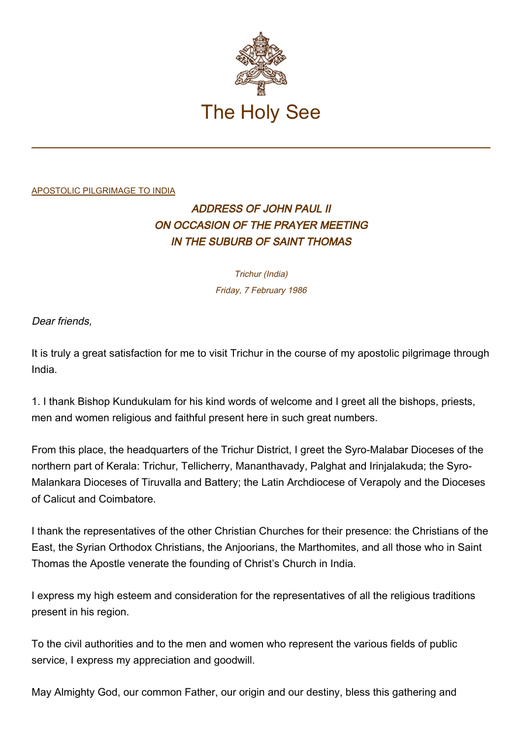

## [APOSTOLIC PILGRIMAGE TO INDIA](http://localhost/holy_father/john_paul_ii/travels/sub_index1986/trav_india.htm)

## ADDRESS OF JOHN PAUL II ON OCCASION OF THE PRAYER MEETING IN THE SUBURB OF SAINT THOMAS

Trichur (India) Friday, 7 February 1986

Dear friends,

It is truly a great satisfaction for me to visit Trichur in the course of my apostolic pilgrimage through India.

1. I thank Bishop Kundukulam for his kind words of welcome and I greet all the bishops, priests, men and women religious and faithful present here in such great numbers.

From this place, the headquarters of the Trichur District, I greet the Syro-Malabar Dioceses of the northern part of Kerala: Trichur, Tellicherry, Mananthavady, Palghat and Irinjalakuda; the Syro-Malankara Dioceses of Tiruvalla and Battery; the Latin Archdiocese of Verapoly and the Dioceses of Calicut and Coimbatore.

I thank the representatives of the other Christian Churches for their presence: the Christians of the East, the Syrian Orthodox Christians, the Anjoorians, the Marthomites, and all those who in Saint Thomas the Apostle venerate the founding of Christ's Church in India.

I express my high esteem and consideration for the representatives of all the religious traditions present in his region.

To the civil authorities and to the men and women who represent the various fields of public service, I express my appreciation and goodwill.

May Almighty God, our common Father, our origin and our destiny, bless this gathering and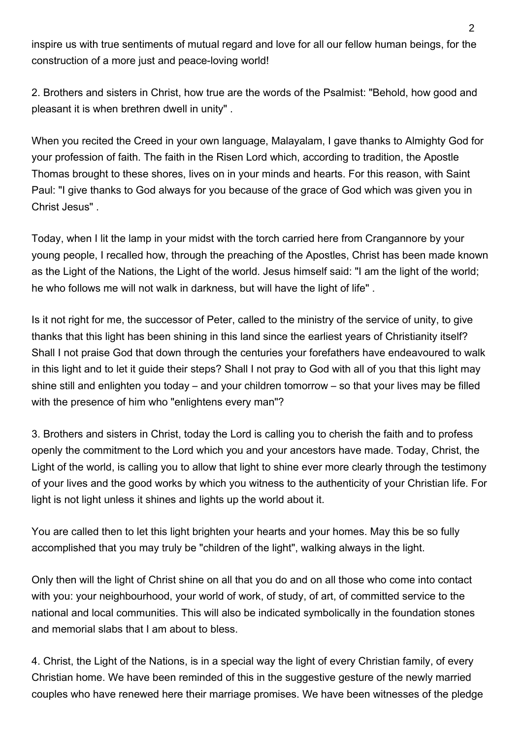inspire us with true sentiments of mutual regard and love for all our fellow human beings, for the construction of a more just and peace-loving world!

2. Brothers and sisters in Christ, how true are the words of the Psalmist: "Behold, how good and pleasant it is when brethren dwell in unity" .

When you recited the Creed in your own language, Malayalam, I gave thanks to Almighty God for your profession of faith. The faith in the Risen Lord which, according to tradition, the Apostle Thomas brought to these shores, lives on in your minds and hearts. For this reason, with Saint Paul: "I give thanks to God always for you because of the grace of God which was given you in Christ Jesus" .

Today, when I lit the lamp in your midst with the torch carried here from Crangannore by your young people, I recalled how, through the preaching of the Apostles, Christ has been made known as the Light of the Nations, the Light of the world. Jesus himself said: "I am the light of the world; he who follows me will not walk in darkness, but will have the light of life" .

Is it not right for me, the successor of Peter, called to the ministry of the service of unity, to give thanks that this light has been shining in this land since the earliest years of Christianity itself? Shall I not praise God that down through the centuries your forefathers have endeavoured to walk in this light and to let it guide their steps? Shall I not pray to God with all of you that this light may shine still and enlighten you today – and your children tomorrow – so that your lives may be filled with the presence of him who "enlightens every man"?

3. Brothers and sisters in Christ, today the Lord is calling you to cherish the faith and to profess openly the commitment to the Lord which you and your ancestors have made. Today, Christ, the Light of the world, is calling you to allow that light to shine ever more clearly through the testimony of your lives and the good works by which you witness to the authenticity of your Christian life. For light is not light unless it shines and lights up the world about it.

You are called then to let this light brighten your hearts and your homes. May this be so fully accomplished that you may truly be "children of the light", walking always in the light.

Only then will the light of Christ shine on all that you do and on all those who come into contact with you: your neighbourhood, your world of work, of study, of art, of committed service to the national and local communities. This will also be indicated symbolically in the foundation stones and memorial slabs that I am about to bless.

4. Christ, the Light of the Nations, is in a special way the light of every Christian family, of every Christian home. We have been reminded of this in the suggestive gesture of the newly married couples who have renewed here their marriage promises. We have been witnesses of the pledge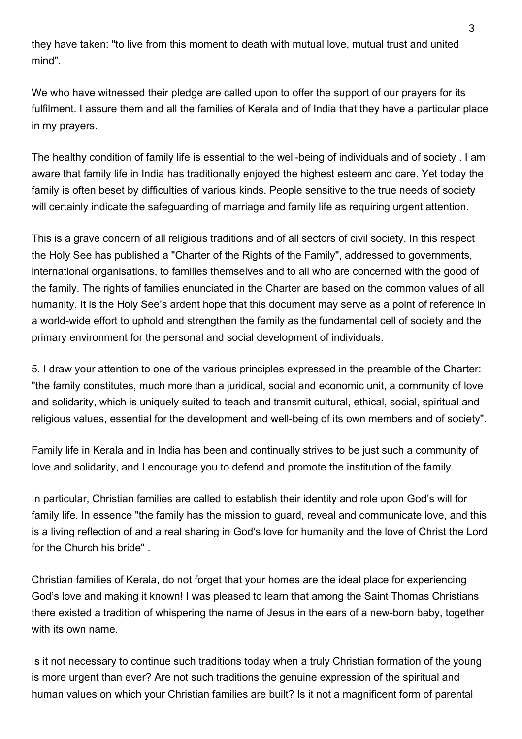they have taken: "to live from this moment to death with mutual love, mutual trust and united mind".

We who have witnessed their pledge are called upon to offer the support of our prayers for its fulfilment. I assure them and all the families of Kerala and of India that they have a particular place in my prayers.

The healthy condition of family life is essential to the well-being of individuals and of society . I am aware that family life in India has traditionally enjoyed the highest esteem and care. Yet today the family is often beset by difficulties of various kinds. People sensitive to the true needs of society will certainly indicate the safeguarding of marriage and family life as requiring urgent attention.

This is a grave concern of all religious traditions and of all sectors of civil society. In this respect the Holy See has published a "Charter of the Rights of the Family", addressed to governments, international organisations, to families themselves and to all who are concerned with the good of the family. The rights of families enunciated in the Charter are based on the common values of all humanity. It is the Holy See's ardent hope that this document may serve as a point of reference in a world-wide effort to uphold and strengthen the family as the fundamental cell of society and the primary environment for the personal and social development of individuals.

5. I draw your attention to one of the various principles expressed in the preamble of the Charter: "the family constitutes, much more than a juridical, social and economic unit, a community of love and solidarity, which is uniquely suited to teach and transmit cultural, ethical, social, spiritual and religious values, essential for the development and well-being of its own members and of society".

Family life in Kerala and in India has been and continually strives to be just such a community of love and solidarity, and I encourage you to defend and promote the institution of the family.

In particular, Christian families are called to establish their identity and role upon God's will for family life. In essence "the family has the mission to guard, reveal and communicate love, and this is a living reflection of and a real sharing in God's love for humanity and the love of Christ the Lord for the Church his bride" .

Christian families of Kerala, do not forget that your homes are the ideal place for experiencing God's love and making it known! I was pleased to learn that among the Saint Thomas Christians there existed a tradition of whispering the name of Jesus in the ears of a new-born baby, together with its own name.

Is it not necessary to continue such traditions today when a truly Christian formation of the young is more urgent than ever? Are not such traditions the genuine expression of the spiritual and human values on which your Christian families are built? Is it not a magnificent form of parental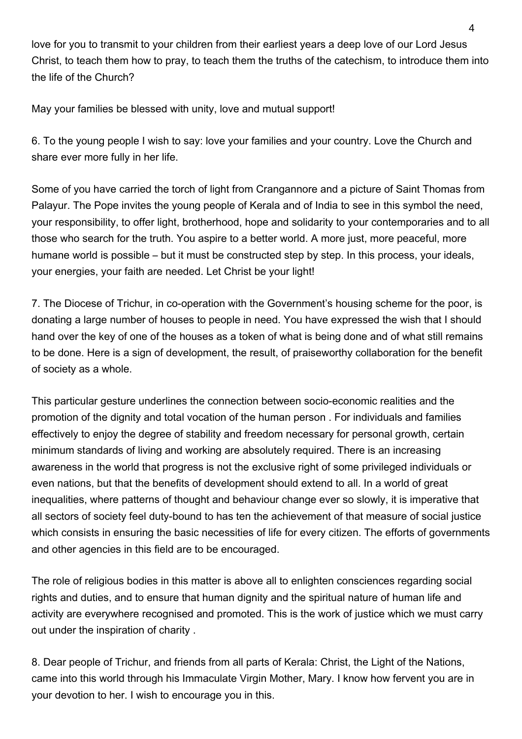love for you to transmit to your children from their earliest years a deep love of our Lord Jesus Christ, to teach them how to pray, to teach them the truths of the catechism, to introduce them into the life of the Church?

May your families be blessed with unity, love and mutual support!

6. To the young people I wish to say: love your families and your country. Love the Church and share ever more fully in her life.

Some of you have carried the torch of light from Crangannore and a picture of Saint Thomas from Palayur. The Pope invites the young people of Kerala and of India to see in this symbol the need, your responsibility, to offer light, brotherhood, hope and solidarity to your contemporaries and to all those who search for the truth. You aspire to a better world. A more just, more peaceful, more humane world is possible – but it must be constructed step by step. In this process, your ideals, your energies, your faith are needed. Let Christ be your light!

7. The Diocese of Trichur, in co-operation with the Government's housing scheme for the poor, is donating a large number of houses to people in need. You have expressed the wish that I should hand over the key of one of the houses as a token of what is being done and of what still remains to be done. Here is a sign of development, the result, of praiseworthy collaboration for the benefit of society as a whole.

This particular gesture underlines the connection between socio-economic realities and the promotion of the dignity and total vocation of the human person . For individuals and families effectively to enjoy the degree of stability and freedom necessary for personal growth, certain minimum standards of living and working are absolutely required. There is an increasing awareness in the world that progress is not the exclusive right of some privileged individuals or even nations, but that the benefits of development should extend to all. In a world of great inequalities, where patterns of thought and behaviour change ever so slowly, it is imperative that all sectors of society feel duty-bound to has ten the achievement of that measure of social justice which consists in ensuring the basic necessities of life for every citizen. The efforts of governments and other agencies in this field are to be encouraged.

The role of religious bodies in this matter is above all to enlighten consciences regarding social rights and duties, and to ensure that human dignity and the spiritual nature of human life and activity are everywhere recognised and promoted. This is the work of justice which we must carry out under the inspiration of charity .

8. Dear people of Trichur, and friends from all parts of Kerala: Christ, the Light of the Nations, came into this world through his Immaculate Virgin Mother, Mary. I know how fervent you are in your devotion to her. I wish to encourage you in this.